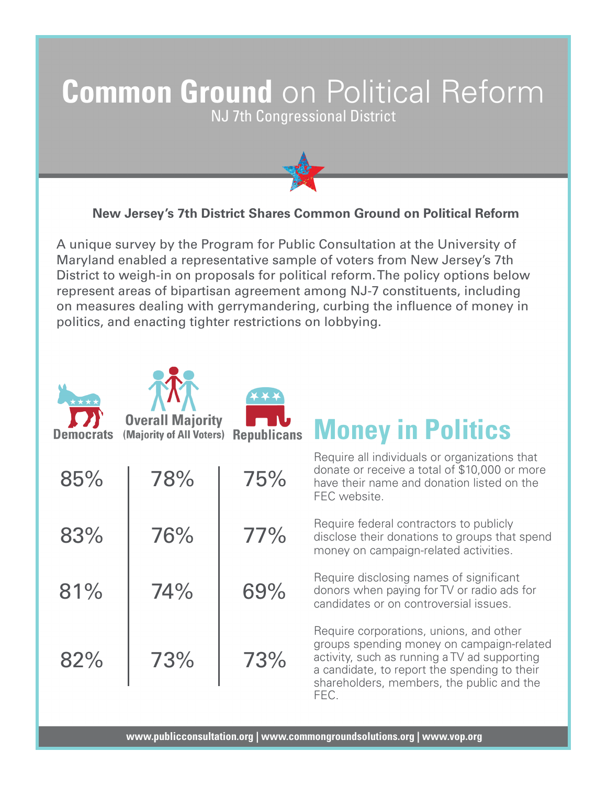## **Common Ground** on Political Reform

NJ 7th Congressional District



## **New Jersey's 7th District Shares Common Ground on Political Reform**

A unique survey by the Program for Public Consultation at the University of Maryland enabled a representative sample of voters from New Jersey's 7th District to weigh-in on proposals for political reform. The policy options below represent areas of bipartisan agreement among NJ-7 constituents, including on measures dealing with gerrymandering, curbing the influence of money in politics, and enacting tighter restrictions on lobbying.